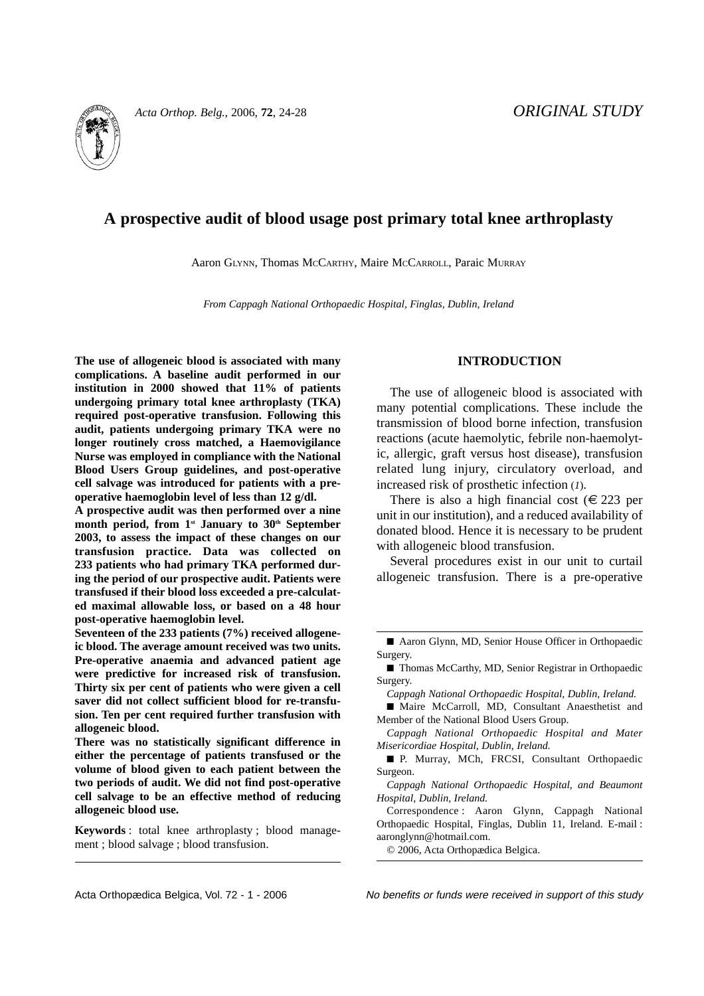

# **A prospective audit of blood usage post primary total knee arthroplasty**

Aaron GLYNN, Thomas MCCARTHY, Maire MCCARROLL, Paraic MURRAY

*From Cappagh National Orthopaedic Hospital, Finglas, Dublin, Ireland*

**The use of allogeneic blood is associated with many complications. A baseline audit performed in our institution in 2000 showed that 11% of patients undergoing primary total knee arthroplasty (TKA) required post-operative transfusion. Following this audit, patients undergoing primary TKA were no longer routinely cross matched, a Haemovigilance Nurse was employed in compliance with the National Blood Users Group guidelines, and post-operative cell salvage was introduced for patients with a preoperative haemoglobin level of less than 12 g/dl.**

**A prospective audit was then performed over a nine** month period, from 1<sup>st</sup> January to 30<sup>th</sup> September **2003, to assess the impact of these changes on our transfusion practice. Data was collected on 233 patients who had primary TKA performed during the period of our prospective audit. Patients were transfused if their blood loss exceeded a pre-calculated maximal allowable loss, or based on a 48 hour post-operative haemoglobin level.**

**Seventeen of the 233 patients (7%) received allogeneic blood. The average amount received was two units. Pre-operative anaemia and advanced patient age were predictive for increased risk of transfusion. Thirty six per cent of patients who were given a cell saver did not collect sufficient blood for re-transfusion. Ten per cent required further transfusion with allogeneic blood.** 

**There was no statistically significant difference in either the percentage of patients transfused or the volume of blood given to each patient between the two periods of audit. We did not find post-operative cell salvage to be an effective method of reducing allogeneic blood use.**

**Keywords** : total knee arthroplasty ; blood management ; blood salvage ; blood transfusion.

# **INTRODUCTION**

The use of allogeneic blood is associated with many potential complications. These include the transmission of blood borne infection, transfusion reactions (acute haemolytic, febrile non-haemolytic, allergic, graft versus host disease), transfusion related lung injury, circulatory overload, and increased risk of prosthetic infection (*1*).

There is also a high financial cost  $(\epsilon 223$  per unit in our institution), and a reduced availability of donated blood. Hence it is necessary to be prudent with allogeneic blood transfusion.

Several procedures exist in our unit to curtail allogeneic transfusion. There is a pre-operative

*Cappagh National Orthopaedic Hospital, Dublin, Ireland.*

■ Maire McCarroll, MD, Consultant Anaesthetist and Member of the National Blood Users Group.

*Cappagh National Orthopaedic Hospital and Mater Misericordiae Hospital, Dublin, Ireland.*

■ P. Murray, MCh, FRCSI, Consultant Orthopaedic Surgeon.

*Cappagh National Orthopaedic Hospital, and Beaumont Hospital, Dublin, Ireland.*

Correspondence : Aaron Glynn, Cappagh National Orthopaedic Hospital, Finglas, Dublin 11, Ireland. E-mail : aaronglynn@hotmail.com.

© 2006, Acta Orthopædica Belgica.

Acta Orthopædica Belgica, Vol. 72 - 1 - 2006 No benefits or funds were received in support of this study

<sup>■</sup> Aaron Glynn, MD, Senior House Officer in Orthopaedic Surgery.

<sup>■</sup> Thomas McCarthy, MD, Senior Registrar in Orthopaedic Surgery.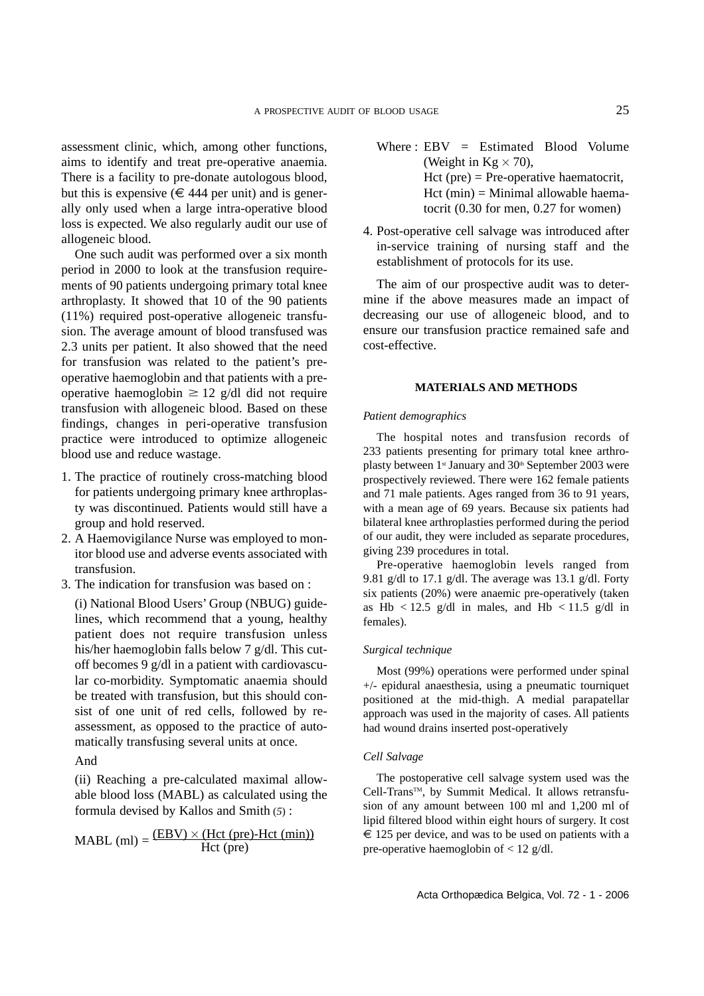assessment clinic, which, among other functions, aims to identify and treat pre-operative anaemia. There is a facility to pre-donate autologous blood, but this is expensive ( $\in$  444 per unit) and is generally only used when a large intra-operative blood loss is expected. We also regularly audit our use of allogeneic blood.

One such audit was performed over a six month period in 2000 to look at the transfusion requirements of 90 patients undergoing primary total knee arthroplasty. It showed that 10 of the 90 patients (11%) required post-operative allogeneic transfusion. The average amount of blood transfused was 2.3 units per patient. It also showed that the need for transfusion was related to the patient's preoperative haemoglobin and that patients with a preoperative haemoglobin  $\geq 12$  g/dl did not require transfusion with allogeneic blood. Based on these findings, changes in peri-operative transfusion practice were introduced to optimize allogeneic blood use and reduce wastage.

- 1. The practice of routinely cross-matching blood for patients undergoing primary knee arthroplasty was discontinued. Patients would still have a group and hold reserved.
- 2. A Haemovigilance Nurse was employed to monitor blood use and adverse events associated with transfusion.
- 3. The indication for transfusion was based on :

(i) National Blood Users' Group (NBUG) guidelines, which recommend that a young, healthy patient does not require transfusion unless his/her haemoglobin falls below 7 g/dl. This cutoff becomes 9 g/dl in a patient with cardiovascular co-morbidity. Symptomatic anaemia should be treated with transfusion, but this should consist of one unit of red cells, followed by reassessment, as opposed to the practice of automatically transfusing several units at once.

And

(ii) Reaching a pre-calculated maximal allowable blood loss (MABL) as calculated using the formula devised by Kallos and Smith (*5*) :

$$
MABL (ml) = \frac{(EBV) \times (Hct (pre) - Hct (min))}{Hct (pre)}
$$

- Where :  $EBV = Estimated$  Blood Volume (Weight in  $Kg \times 70$ ), Hct (pre) = Pre-operative haematocrit,  $Het (min) = Minimal$  allowable haematocrit (0.30 for men, 0.27 for women)
- 4. Post-operative cell salvage was introduced after in-service training of nursing staff and the establishment of protocols for its use.

The aim of our prospective audit was to determine if the above measures made an impact of decreasing our use of allogeneic blood, and to ensure our transfusion practice remained safe and cost-effective.

### **MATERIALS AND METHODS**

### *Patient demographics*

The hospital notes and transfusion records of 233 patients presenting for primary total knee arthroplasty between 1<sup>st</sup> January and 30<sup>th</sup> September 2003 were prospectively reviewed. There were 162 female patients and 71 male patients. Ages ranged from 36 to 91 years, with a mean age of 69 years. Because six patients had bilateral knee arthroplasties performed during the period of our audit, they were included as separate procedures, giving 239 procedures in total.

Pre-operative haemoglobin levels ranged from 9.81 g/dl to 17.1 g/dl. The average was 13.1 g/dl. Forty six patients (20%) were anaemic pre-operatively (taken as Hb  $\lt$  12.5 g/dl in males, and Hb  $\lt$  11.5 g/dl in females).

### *Surgical technique*

Most (99%) operations were performed under spinal +/- epidural anaesthesia, using a pneumatic tourniquet positioned at the mid-thigh. A medial parapatellar approach was used in the majority of cases. All patients had wound drains inserted post-operatively

### *Cell Salvage*

The postoperative cell salvage system used was the Cell-Trans™, by Summit Medical. It allows retransfusion of any amount between 100 ml and 1,200 ml of lipid filtered blood within eight hours of surgery. It cost  $\epsilon$  125 per device, and was to be used on patients with a pre-operative haemoglobin of  $< 12$  g/dl.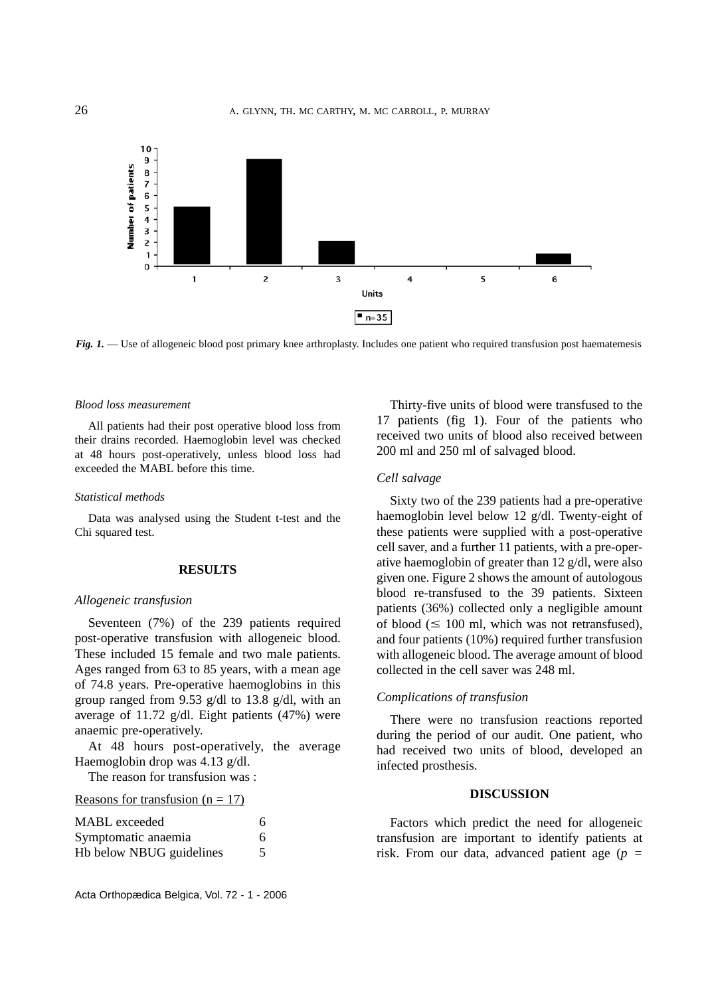

*Fig. 1.* — Use of allogeneic blood post primary knee arthroplasty. Includes one patient who required transfusion post haematemesis

#### *Blood loss measurement*

All patients had their post operative blood loss from their drains recorded. Haemoglobin level was checked at 48 hours post-operatively, unless blood loss had exceeded the MABL before this time.

#### *Statistical methods*

Data was analysed using the Student t-test and the Chi squared test.

## **RESULTS**

# *Allogeneic transfusion*

Seventeen (7%) of the 239 patients required post-operative transfusion with allogeneic blood. These included 15 female and two male patients. Ages ranged from 63 to 85 years, with a mean age of 74.8 years. Pre-operative haemoglobins in this group ranged from 9.53 g/dl to 13.8 g/dl, with an average of 11.72 g/dl. Eight patients (47%) were anaemic pre-operatively.

At 48 hours post-operatively, the average Haemoglobin drop was 4.13 g/dl.

The reason for transfusion was :

| Reasons for transfusion $(n = 17)$ |
|------------------------------------|
|------------------------------------|

| <b>MABL</b> exceeded<br>Symptomatic anaemia<br>Hb below NBUG guidelines | 6<br>6 |
|-------------------------------------------------------------------------|--------|
|                                                                         |        |

Thirty-five units of blood were transfused to the 17 patients (fig 1). Four of the patients who received two units of blood also received between 200 ml and 250 ml of salvaged blood.

### *Cell salvage*

Sixty two of the 239 patients had a pre-operative haemoglobin level below 12 g/dl. Twenty-eight of these patients were supplied with a post-operative cell saver, and a further 11 patients, with a pre-operative haemoglobin of greater than 12 g/dl, were also given one. Figure 2 shows the amount of autologous blood re-transfused to the 39 patients. Sixteen patients (36%) collected only a negligible amount of blood ( $\leq 100$  ml, which was not retransfused), and four patients (10%) required further transfusion with allogeneic blood. The average amount of blood collected in the cell saver was 248 ml.

# *Complications of transfusion*

There were no transfusion reactions reported during the period of our audit. One patient, who had received two units of blood, developed an infected prosthesis.

### **DISCUSSION**

Factors which predict the need for allogeneic transfusion are important to identify patients at risk. From our data, advanced patient age (*p =*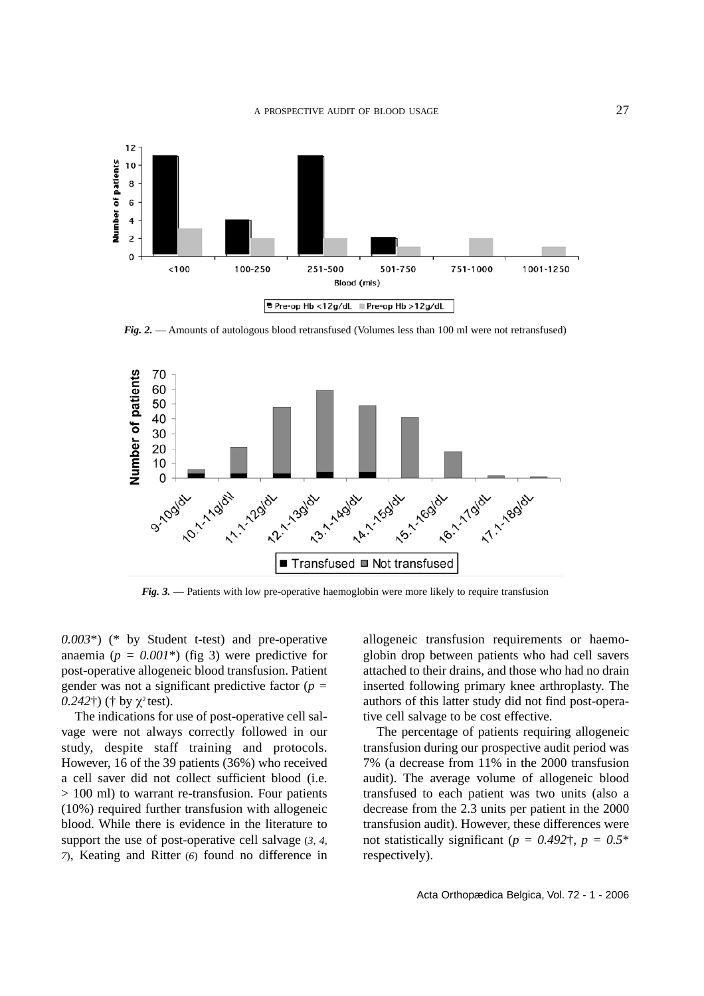

*Fig. 2.* — Amounts of autologous blood retransfused (Volumes less than 100 ml were not retransfused)



*Fig. 3.* — Patients with low pre-operative haemoglobin were more likely to require transfusion

*0.003*\*) (\* by Student t-test) and pre-operative anaemia ( $p = 0.001^*$ ) (fig 3) were predictive for post-operative allogeneic blood transfusion. Patient gender was not a significant predictive factor (*p =*  $(0.242\text{t})$  († by  $\chi^2$  test).

The indications for use of post-operative cell salvage were not always correctly followed in our study, despite staff training and protocols. However, 16 of the 39 patients (36%) who received a cell saver did not collect sufficient blood (i.e. > 100 ml) to warrant re-transfusion. Four patients (10%) required further transfusion with allogeneic blood. While there is evidence in the literature to support the use of post-operative cell salvage (*3, 4, 7*), Keating and Ritter (*6*) found no difference in

allogeneic transfusion requirements or haemoglobin drop between patients who had cell savers attached to their drains, and those who had no drain inserted following primary knee arthroplasty. The authors of this latter study did not find post-operative cell salvage to be cost effective.

The percentage of patients requiring allogeneic transfusion during our prospective audit period was 7% (a decrease from 11% in the 2000 transfusion audit). The average volume of allogeneic blood transfused to each patient was two units (also a decrease from the 2.3 units per patient in the 2000 transfusion audit). However, these differences were not statistically significant ( $p = 0.492$ <sup> $\dagger$ </sup>,  $p = 0.5$ <sup>\*</sup> respectively).